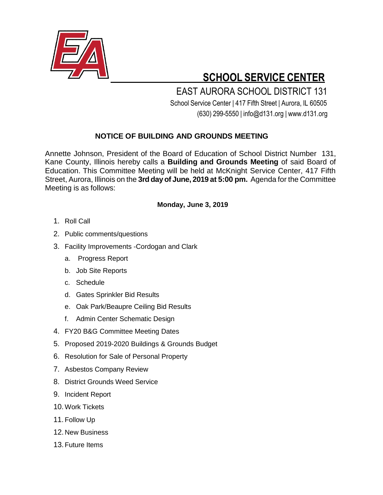

## **SCHOOL SERVICE CENTER**

 EAST AURORA SCHOOL DISTRICT 131 School Service Center | 417 Fifth Street | Aurora, IL 60505 (630) 299-5550 | [info@d131.org](mailto:info@d131.org) | [www.d131.org](http://www.d131.org/)

## **NOTICE OF BUILDING AND GROUNDS MEETING**

Annette Johnson, President of the Board of Education of School District Number 131, Kane County, Illinois hereby calls a **Building and Grounds Meeting** of said Board of Education. This Committee Meeting will be held at McKnight Service Center, 417 Fifth Street, Aurora, Illinois on the **3rd day of June, 2019 at 5:00 pm.** Agenda for the Committee Meeting is as follows:

## **Monday, June 3, 2019**

- 1. Roll Call
- 2. Public comments/questions
- 3. Facility Improvements -Cordogan and Clark
	- a. Progress Report
	- b. Job Site Reports
	- c. Schedule
	- d. Gates Sprinkler Bid Results
	- e. Oak Park/Beaupre Ceiling Bid Results
	- f. Admin Center Schematic Design
- 4. FY20 B&G Committee Meeting Dates
- 5. Proposed 2019-2020 Buildings & Grounds Budget
- 6. Resolution for Sale of Personal Property
- 7. Asbestos Company Review
- 8. District Grounds Weed Service
- 9. Incident Report
- 10. Work Tickets
- 11. Follow Up
- 12. New Business
- 13.Future Items